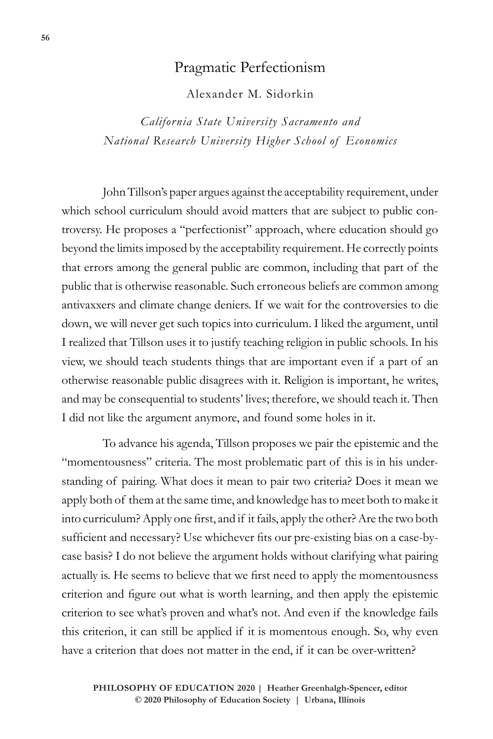## Pragmatic Perfectionism

Alexander M. Sidorkin

*California State University Sacramento and National Research University Higher School of Economics*

John Tillson's paper argues against the acceptability requirement, under which school curriculum should avoid matters that are subject to public controversy. He proposes a "perfectionist" approach, where education should go beyond the limits imposed by the acceptability requirement. He correctly points that errors among the general public are common, including that part of the public that is otherwise reasonable. Such erroneous beliefs are common among antivaxxers and climate change deniers. If we wait for the controversies to die down, we will never get such topics into curriculum. I liked the argument, until I realized that Tillson uses it to justify teaching religion in public schools. In his view, we should teach students things that are important even if a part of an otherwise reasonable public disagrees with it. Religion is important, he writes, and may be consequential to students' lives; therefore, we should teach it. Then I did not like the argument anymore, and found some holes in it.

To advance his agenda, Tillson proposes we pair the epistemic and the "momentousness" criteria. The most problematic part of this is in his understanding of pairing. What does it mean to pair two criteria? Does it mean we apply both of them at the same time, and knowledge has to meet both to make it into curriculum? Apply one first, and if it fails, apply the other? Are the two both sufficient and necessary? Use whichever fits our pre-existing bias on a case-bycase basis? I do not believe the argument holds without clarifying what pairing actually is. He seems to believe that we first need to apply the momentousness criterion and figure out what is worth learning, and then apply the epistemic criterion to see what's proven and what's not. And even if the knowledge fails this criterion, it can still be applied if it is momentous enough. So, why even have a criterion that does not matter in the end, if it can be over-written?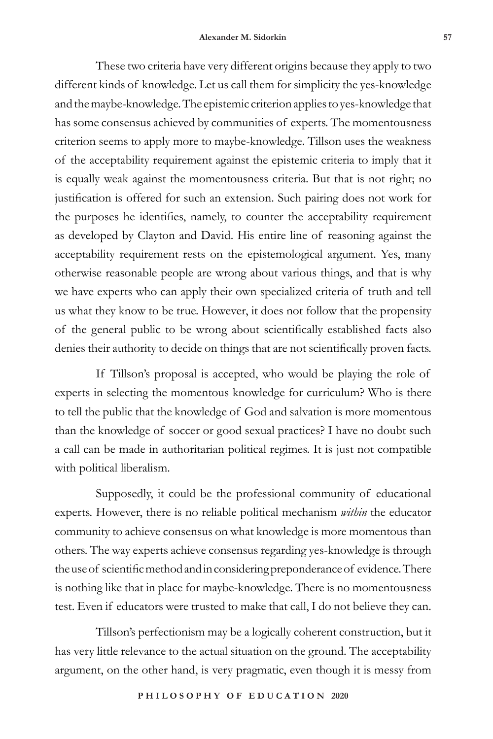These two criteria have very different origins because they apply to two different kinds of knowledge. Let us call them for simplicity the yes-knowledge and the maybe-knowledge. The epistemic criterion applies to yes-knowledge that has some consensus achieved by communities of experts. The momentousness criterion seems to apply more to maybe-knowledge. Tillson uses the weakness of the acceptability requirement against the epistemic criteria to imply that it is equally weak against the momentousness criteria. But that is not right; no justification is offered for such an extension. Such pairing does not work for the purposes he identifies, namely, to counter the acceptability requirement as developed by Clayton and David. His entire line of reasoning against the acceptability requirement rests on the epistemological argument. Yes, many otherwise reasonable people are wrong about various things, and that is why we have experts who can apply their own specialized criteria of truth and tell us what they know to be true. However, it does not follow that the propensity of the general public to be wrong about scientifically established facts also denies their authority to decide on things that are not scientifically proven facts.

If Tillson's proposal is accepted, who would be playing the role of experts in selecting the momentous knowledge for curriculum? Who is there to tell the public that the knowledge of God and salvation is more momentous than the knowledge of soccer or good sexual practices? I have no doubt such a call can be made in authoritarian political regimes. It is just not compatible with political liberalism.

Supposedly, it could be the professional community of educational experts. However, there is no reliable political mechanism *within* the educator community to achieve consensus on what knowledge is more momentous than others. The way experts achieve consensus regarding yes-knowledge is through the use of scientific method and in considering preponderance of evidence. There is nothing like that in place for maybe-knowledge. There is no momentousness test. Even if educators were trusted to make that call, I do not believe they can.

Tillson's perfectionism may be a logically coherent construction, but it has very little relevance to the actual situation on the ground. The acceptability argument, on the other hand, is very pragmatic, even though it is messy from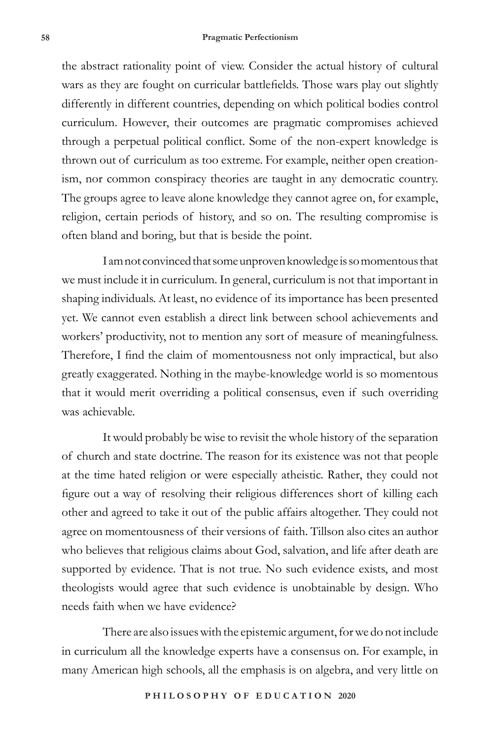the abstract rationality point of view. Consider the actual history of cultural wars as they are fought on curricular battlefields. Those wars play out slightly differently in different countries, depending on which political bodies control curriculum. However, their outcomes are pragmatic compromises achieved through a perpetual political conflict. Some of the non-expert knowledge is thrown out of curriculum as too extreme. For example, neither open creationism, nor common conspiracy theories are taught in any democratic country. The groups agree to leave alone knowledge they cannot agree on, for example, religion, certain periods of history, and so on. The resulting compromise is often bland and boring, but that is beside the point.

I am not convinced that some unproven knowledge is so momentous that we must include it in curriculum. In general, curriculum is not that important in shaping individuals. At least, no evidence of its importance has been presented yet. We cannot even establish a direct link between school achievements and workers' productivity, not to mention any sort of measure of meaningfulness. Therefore, I find the claim of momentousness not only impractical, but also greatly exaggerated. Nothing in the maybe-knowledge world is so momentous that it would merit overriding a political consensus, even if such overriding was achievable.

It would probably be wise to revisit the whole history of the separation of church and state doctrine. The reason for its existence was not that people at the time hated religion or were especially atheistic. Rather, they could not figure out a way of resolving their religious differences short of killing each other and agreed to take it out of the public affairs altogether. They could not agree on momentousness of their versions of faith. Tillson also cites an author who believes that religious claims about God, salvation, and life after death are supported by evidence. That is not true. No such evidence exists, and most theologists would agree that such evidence is unobtainable by design. Who needs faith when we have evidence?

There are also issues with the epistemic argument, for we do not include in curriculum all the knowledge experts have a consensus on. For example, in many American high schools, all the emphasis is on algebra, and very little on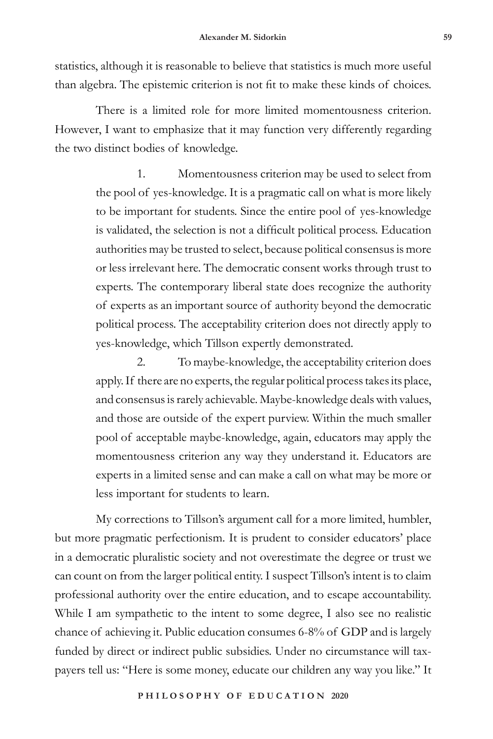statistics, although it is reasonable to believe that statistics is much more useful than algebra. The epistemic criterion is not fit to make these kinds of choices.

There is a limited role for more limited momentousness criterion. However, I want to emphasize that it may function very differently regarding the two distinct bodies of knowledge.

> 1. Momentousness criterion may be used to select from the pool of yes-knowledge. It is a pragmatic call on what is more likely to be important for students. Since the entire pool of yes-knowledge is validated, the selection is not a difficult political process. Education authorities may be trusted to select, because political consensus is more or less irrelevant here. The democratic consent works through trust to experts. The contemporary liberal state does recognize the authority of experts as an important source of authority beyond the democratic political process. The acceptability criterion does not directly apply to yes-knowledge, which Tillson expertly demonstrated.

> 2. To maybe-knowledge, the acceptability criterion does apply. If there are no experts, the regular political process takes its place, and consensus is rarely achievable. Maybe-knowledge deals with values, and those are outside of the expert purview. Within the much smaller pool of acceptable maybe-knowledge, again, educators may apply the momentousness criterion any way they understand it. Educators are experts in a limited sense and can make a call on what may be more or less important for students to learn.

My corrections to Tillson's argument call for a more limited, humbler, but more pragmatic perfectionism. It is prudent to consider educators' place in a democratic pluralistic society and not overestimate the degree or trust we can count on from the larger political entity. I suspect Tillson's intent is to claim professional authority over the entire education, and to escape accountability. While I am sympathetic to the intent to some degree, I also see no realistic chance of achieving it. Public education consumes 6-8% of GDP and is largely funded by direct or indirect public subsidies. Under no circumstance will taxpayers tell us: "Here is some money, educate our children any way you like." It